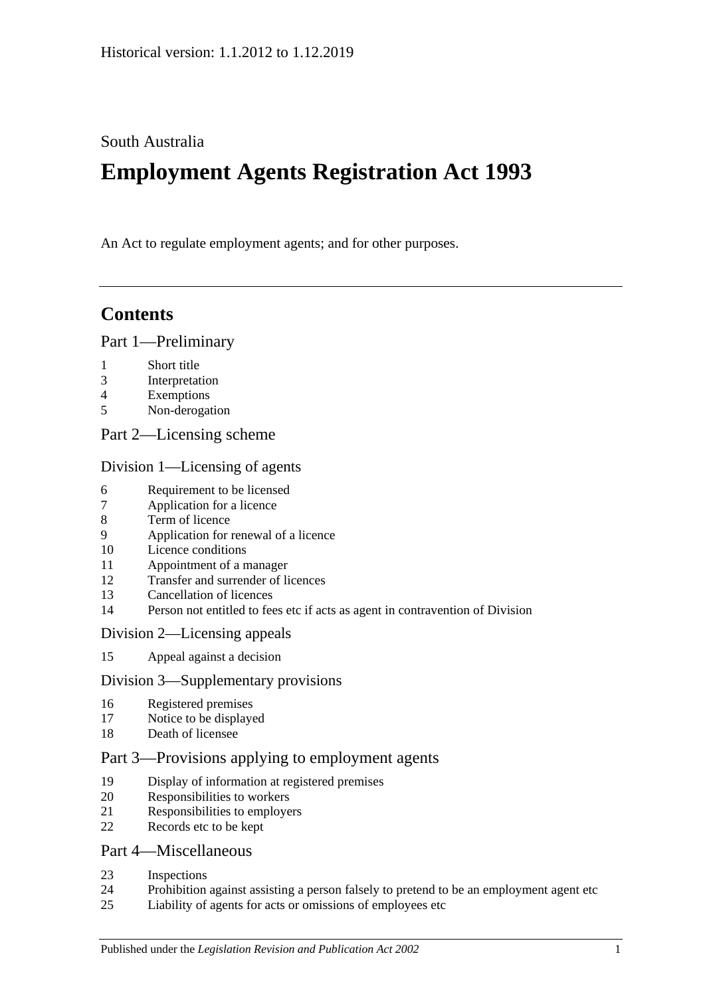South Australia

# **Employment Agents Registration Act 1993**

An Act to regulate employment agents; and for other purposes.

# **Contents**

### [Part 1—Preliminary](#page-1-0)

- [Short title](#page-1-1)
- [Interpretation](#page-1-2)
- [Exemptions](#page-2-0)
- [Non-derogation](#page-2-1)
- [Part 2—Licensing scheme](#page-3-0)

### [Division 1—Licensing of agents](#page-3-1)

- [Requirement to be licensed](#page-3-2)
- [Application for a licence](#page-3-3)
- [Term of licence](#page-5-0)
- [Application for renewal of a licence](#page-5-1)
- [Licence conditions](#page-5-2)
- [Appointment of a manager](#page-6-0)
- [Transfer and surrender of licences](#page-6-1)
- [Cancellation of licences](#page-6-2)
- [Person not entitled to fees etc if acts as agent in contravention of Division](#page-7-0)

### [Division 2—Licensing appeals](#page-7-1)

[Appeal against a decision](#page-7-2)

### [Division 3—Supplementary provisions](#page-8-0)

- [Registered premises](#page-8-1)
- [Notice to be displayed](#page-8-2)
- [Death of licensee](#page-8-3)

### [Part 3—Provisions applying to employment agents](#page-9-0)

- [Display of information at registered premises](#page-9-1)
- [Responsibilities to workers](#page-9-2)
- [Responsibilities to employers](#page-10-0)
- [Records etc to be kept](#page-11-0)

### [Part 4—Miscellaneous](#page-11-1)

- [Inspections](#page-11-2)
- [Prohibition against assisting a person falsely to pretend to be an employment agent etc](#page-12-0)
- [Liability of agents for acts or omissions of employees etc](#page-12-1)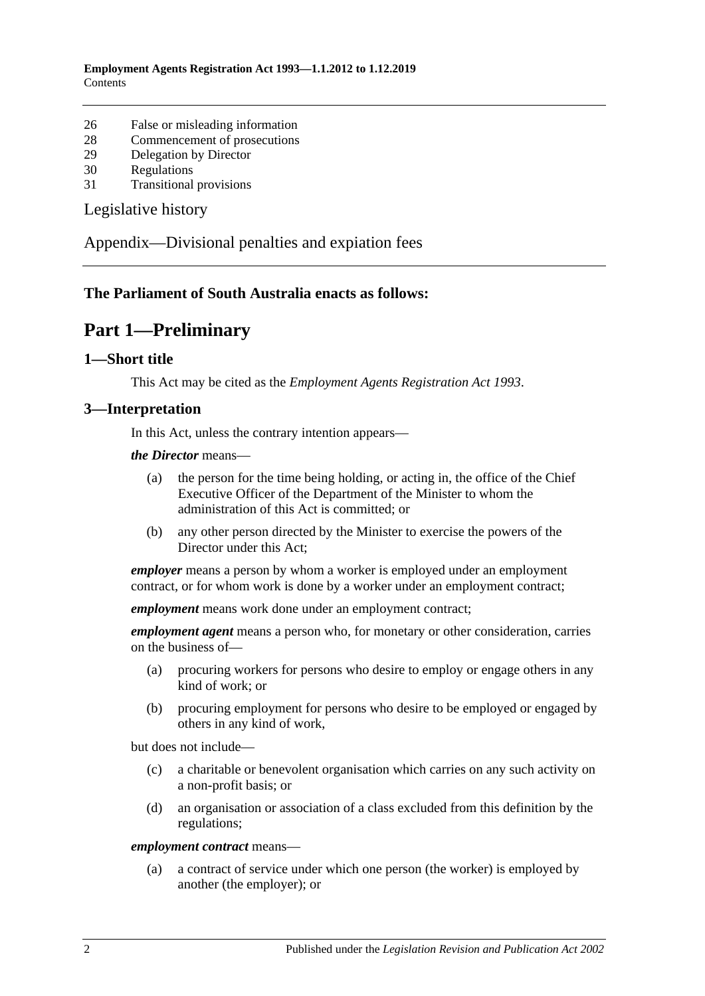- 26 [False or misleading information](#page-13-0)
- 28 [Commencement of prosecutions](#page-13-1)
- 29 [Delegation by Director](#page-13-2)
- 30 [Regulations](#page-13-3)
- 31 [Transitional provisions](#page-14-0)

[Legislative history](#page-15-0)

[Appendix—Divisional penalties and expiation fees](#page-16-0)

### <span id="page-1-0"></span>**The Parliament of South Australia enacts as follows:**

### **Part 1—Preliminary**

#### <span id="page-1-1"></span>**1—Short title**

This Act may be cited as the *Employment Agents Registration Act 1993*.

#### <span id="page-1-2"></span>**3—Interpretation**

In this Act, unless the contrary intention appears—

*the Director* means—

- (a) the person for the time being holding, or acting in, the office of the Chief Executive Officer of the Department of the Minister to whom the administration of this Act is committed; or
- (b) any other person directed by the Minister to exercise the powers of the Director under this Act;

*employer* means a person by whom a worker is employed under an employment contract, or for whom work is done by a worker under an employment contract;

*employment* means work done under an employment contract;

*employment agent* means a person who, for monetary or other consideration, carries on the business of—

- (a) procuring workers for persons who desire to employ or engage others in any kind of work; or
- (b) procuring employment for persons who desire to be employed or engaged by others in any kind of work,

but does not include—

- (c) a charitable or benevolent organisation which carries on any such activity on a non-profit basis; or
- (d) an organisation or association of a class excluded from this definition by the regulations;

#### *employment contract* means—

(a) a contract of service under which one person (the worker) is employed by another (the employer); or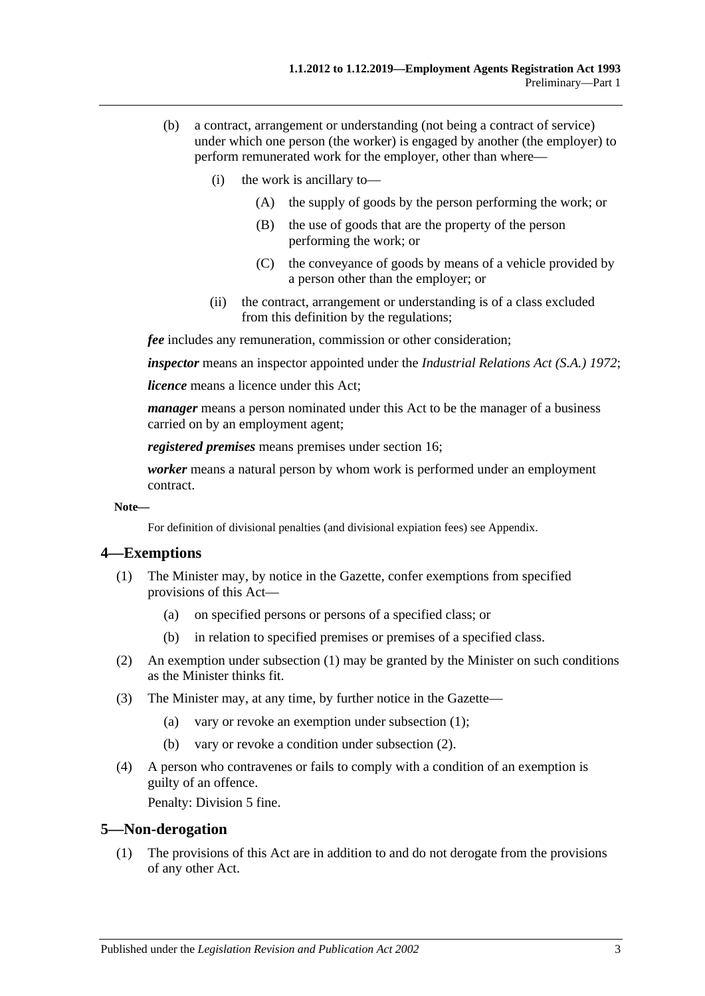- (b) a contract, arrangement or understanding (not being a contract of service) under which one person (the worker) is engaged by another (the employer) to perform remunerated work for the employer, other than where—
	- (i) the work is ancillary to—
		- (A) the supply of goods by the person performing the work; or
		- (B) the use of goods that are the property of the person performing the work; or
		- (C) the conveyance of goods by means of a vehicle provided by a person other than the employer; or
	- (ii) the contract, arrangement or understanding is of a class excluded from this definition by the regulations;

*fee* includes any remuneration, commission or other consideration;

*inspector* means an inspector appointed under the *[Industrial Relations Act \(S.A.\)](http://www.legislation.sa.gov.au/index.aspx?action=legref&type=act&legtitle=Industrial%20Relations%20Act%20(S.A.)%201972) 1972*;

*licence* means a licence under this Act;

*manager* means a person nominated under this Act to be the manager of a business carried on by an employment agent;

*registered premises* means premises under [section](#page-8-1) 16;

*worker* means a natural person by whom work is performed under an employment contract.

#### **Note—**

For definition of divisional penalties (and divisional expiation fees) see Appendix.

### <span id="page-2-2"></span><span id="page-2-0"></span>**4—Exemptions**

- (1) The Minister may, by notice in the Gazette, confer exemptions from specified provisions of this Act—
	- (a) on specified persons or persons of a specified class; or
	- (b) in relation to specified premises or premises of a specified class.
- <span id="page-2-3"></span>(2) An exemption under [subsection](#page-2-2) (1) may be granted by the Minister on such conditions as the Minister thinks fit.
- (3) The Minister may, at any time, by further notice in the Gazette—
	- (a) vary or revoke an exemption under [subsection](#page-2-2) (1);
	- (b) vary or revoke a condition under [subsection](#page-2-3) (2).
- (4) A person who contravenes or fails to comply with a condition of an exemption is guilty of an offence.

Penalty: Division 5 fine.

### <span id="page-2-1"></span>**5—Non-derogation**

(1) The provisions of this Act are in addition to and do not derogate from the provisions of any other Act.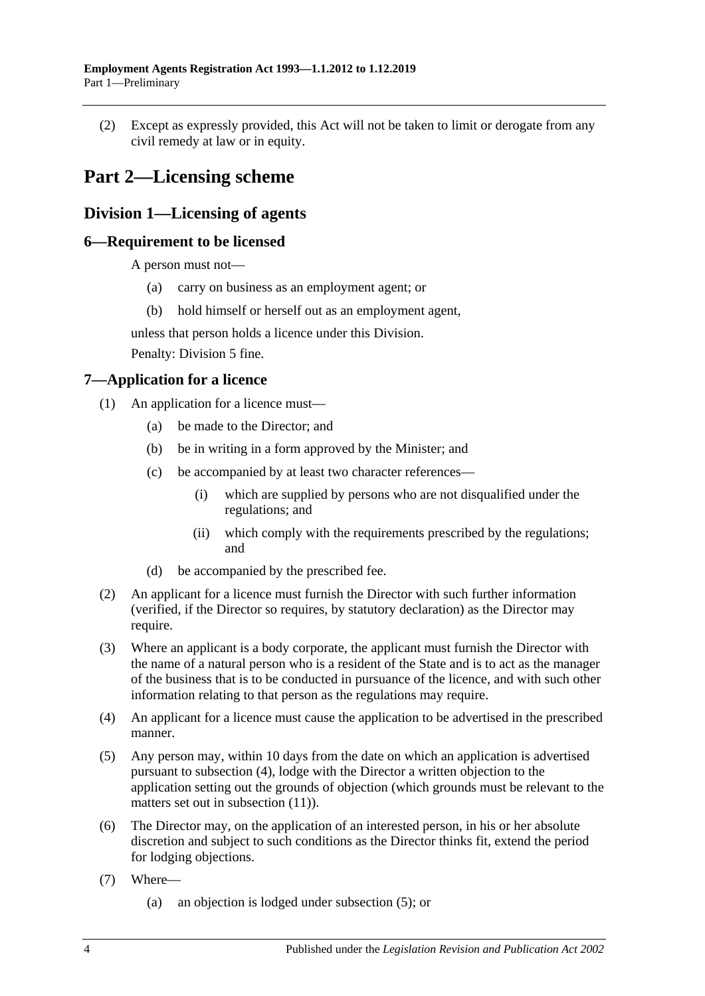(2) Except as expressly provided, this Act will not be taken to limit or derogate from any civil remedy at law or in equity.

# <span id="page-3-0"></span>**Part 2—Licensing scheme**

### <span id="page-3-1"></span>**Division 1—Licensing of agents**

### <span id="page-3-2"></span>**6—Requirement to be licensed**

A person must not—

- (a) carry on business as an employment agent; or
- (b) hold himself or herself out as an employment agent,

unless that person holds a licence under this Division.

Penalty: Division 5 fine.

### <span id="page-3-3"></span>**7—Application for a licence**

- (1) An application for a licence must—
	- (a) be made to the Director; and
	- (b) be in writing in a form approved by the Minister; and
	- (c) be accompanied by at least two character references—
		- (i) which are supplied by persons who are not disqualified under the regulations; and
		- (ii) which comply with the requirements prescribed by the regulations; and
	- (d) be accompanied by the prescribed fee.
- <span id="page-3-6"></span>(2) An applicant for a licence must furnish the Director with such further information (verified, if the Director so requires, by statutory declaration) as the Director may require.
- (3) Where an applicant is a body corporate, the applicant must furnish the Director with the name of a natural person who is a resident of the State and is to act as the manager of the business that is to be conducted in pursuance of the licence, and with such other information relating to that person as the regulations may require.
- <span id="page-3-4"></span>(4) An applicant for a licence must cause the application to be advertised in the prescribed manner.
- <span id="page-3-5"></span>(5) Any person may, within 10 days from the date on which an application is advertised pursuant to [subsection](#page-3-4) (4), lodge with the Director a written objection to the application setting out the grounds of objection (which grounds must be relevant to the matters set out in [subsection](#page-4-0) (11)).
- <span id="page-3-7"></span>(6) The Director may, on the application of an interested person, in his or her absolute discretion and subject to such conditions as the Director thinks fit, extend the period for lodging objections.
- (7) Where—
	- (a) an objection is lodged under [subsection](#page-3-5) (5); or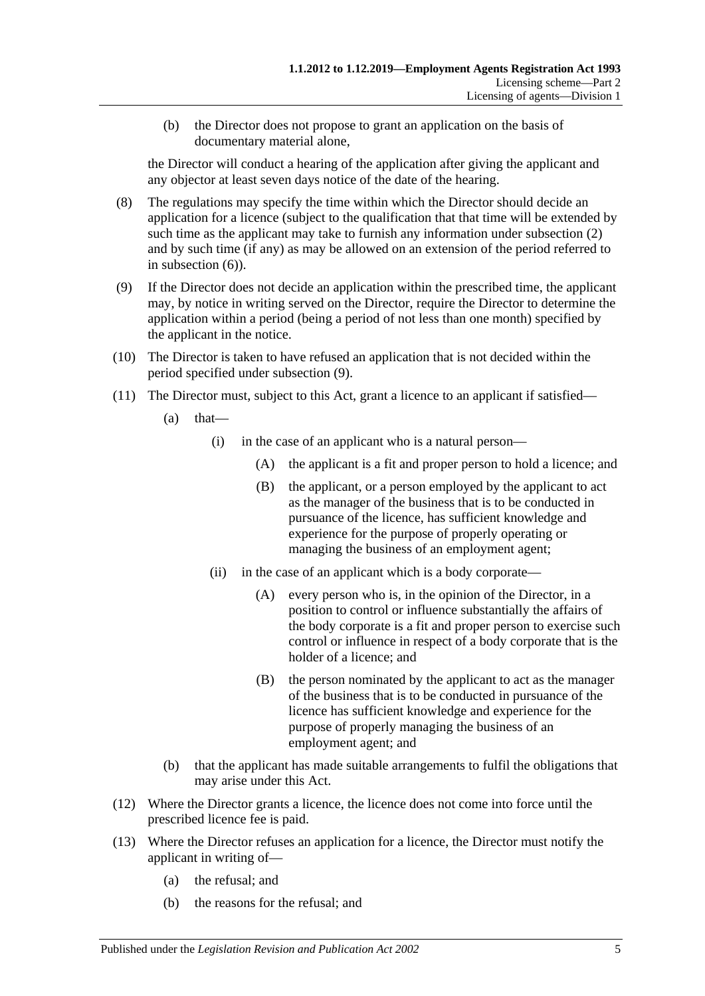(b) the Director does not propose to grant an application on the basis of documentary material alone,

the Director will conduct a hearing of the application after giving the applicant and any objector at least seven days notice of the date of the hearing.

- (8) The regulations may specify the time within which the Director should decide an application for a licence (subject to the qualification that that time will be extended by such time as the applicant may take to furnish any information under [subsection](#page-3-6) (2) and by such time (if any) as may be allowed on an extension of the period referred to in [subsection](#page-3-7) (6)).
- <span id="page-4-1"></span>(9) If the Director does not decide an application within the prescribed time, the applicant may, by notice in writing served on the Director, require the Director to determine the application within a period (being a period of not less than one month) specified by the applicant in the notice.
- (10) The Director is taken to have refused an application that is not decided within the period specified under [subsection](#page-4-1) (9).
- <span id="page-4-0"></span>(11) The Director must, subject to this Act, grant a licence to an applicant if satisfied—
	- $(a)$  that—
		- (i) in the case of an applicant who is a natural person—
			- (A) the applicant is a fit and proper person to hold a licence; and
			- (B) the applicant, or a person employed by the applicant to act as the manager of the business that is to be conducted in pursuance of the licence, has sufficient knowledge and experience for the purpose of properly operating or managing the business of an employment agent;
		- (ii) in the case of an applicant which is a body corporate—
			- (A) every person who is, in the opinion of the Director, in a position to control or influence substantially the affairs of the body corporate is a fit and proper person to exercise such control or influence in respect of a body corporate that is the holder of a licence; and
			- (B) the person nominated by the applicant to act as the manager of the business that is to be conducted in pursuance of the licence has sufficient knowledge and experience for the purpose of properly managing the business of an employment agent; and
	- (b) that the applicant has made suitable arrangements to fulfil the obligations that may arise under this Act.
- (12) Where the Director grants a licence, the licence does not come into force until the prescribed licence fee is paid.
- (13) Where the Director refuses an application for a licence, the Director must notify the applicant in writing of—
	- (a) the refusal; and
	- (b) the reasons for the refusal; and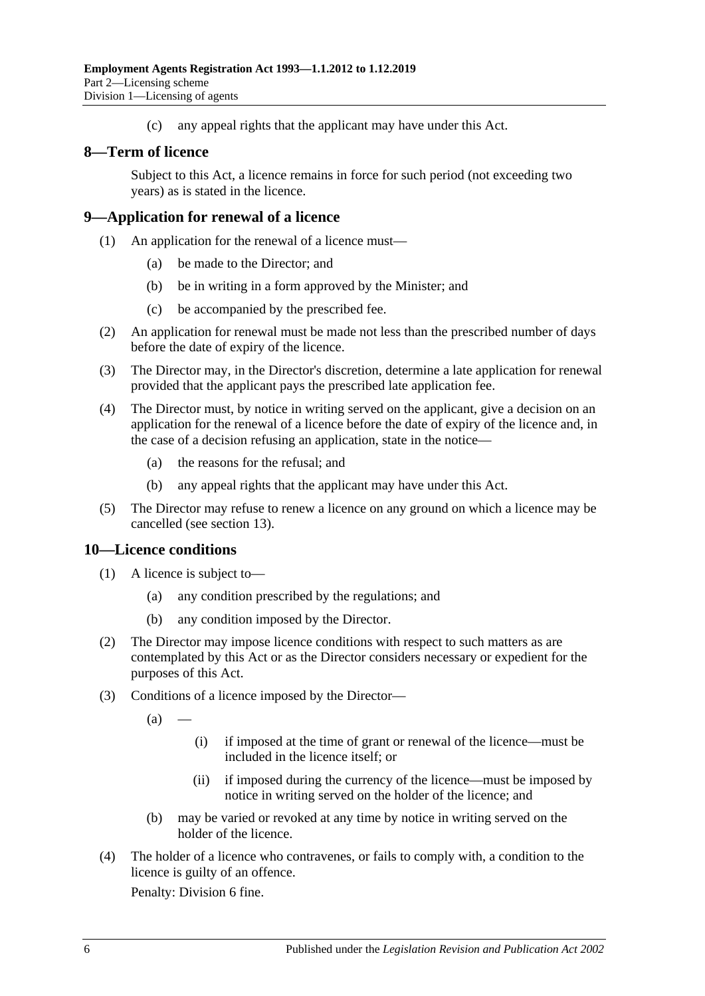(c) any appeal rights that the applicant may have under this Act.

### <span id="page-5-0"></span>**8—Term of licence**

Subject to this Act, a licence remains in force for such period (not exceeding two years) as is stated in the licence.

### <span id="page-5-1"></span>**9—Application for renewal of a licence**

- (1) An application for the renewal of a licence must—
	- (a) be made to the Director; and
	- (b) be in writing in a form approved by the Minister; and
	- (c) be accompanied by the prescribed fee.
- (2) An application for renewal must be made not less than the prescribed number of days before the date of expiry of the licence.
- (3) The Director may, in the Director's discretion, determine a late application for renewal provided that the applicant pays the prescribed late application fee.
- (4) The Director must, by notice in writing served on the applicant, give a decision on an application for the renewal of a licence before the date of expiry of the licence and, in the case of a decision refusing an application, state in the notice—
	- (a) the reasons for the refusal; and
	- (b) any appeal rights that the applicant may have under this Act.
- (5) The Director may refuse to renew a licence on any ground on which a licence may be cancelled (see [section](#page-6-2) 13).

### <span id="page-5-2"></span>**10—Licence conditions**

- (1) A licence is subject to—
	- (a) any condition prescribed by the regulations; and
	- (b) any condition imposed by the Director.
- (2) The Director may impose licence conditions with respect to such matters as are contemplated by this Act or as the Director considers necessary or expedient for the purposes of this Act.
- (3) Conditions of a licence imposed by the Director—
	- $(a)$
- (i) if imposed at the time of grant or renewal of the licence—must be included in the licence itself; or
- (ii) if imposed during the currency of the licence—must be imposed by notice in writing served on the holder of the licence; and
- (b) may be varied or revoked at any time by notice in writing served on the holder of the licence.
- (4) The holder of a licence who contravenes, or fails to comply with, a condition to the licence is guilty of an offence.

Penalty: Division 6 fine.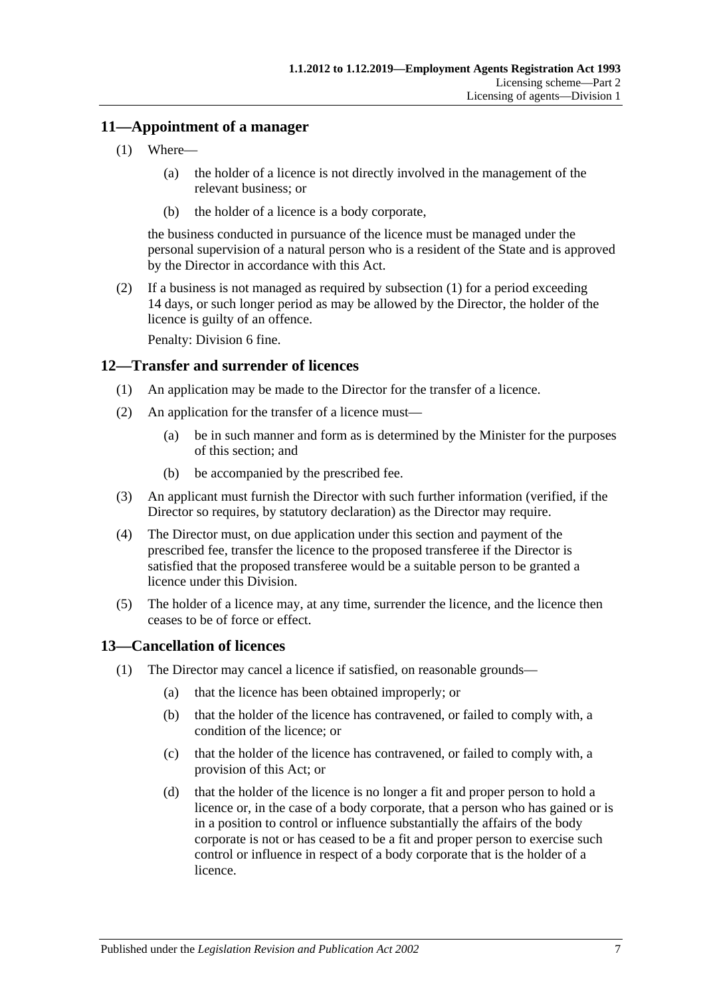### <span id="page-6-3"></span><span id="page-6-0"></span>**11—Appointment of a manager**

- (1) Where—
	- (a) the holder of a licence is not directly involved in the management of the relevant business; or
	- (b) the holder of a licence is a body corporate,

the business conducted in pursuance of the licence must be managed under the personal supervision of a natural person who is a resident of the State and is approved by the Director in accordance with this Act.

(2) If a business is not managed as required by [subsection](#page-6-3) (1) for a period exceeding 14 days, or such longer period as may be allowed by the Director, the holder of the licence is guilty of an offence.

Penalty: Division 6 fine.

### <span id="page-6-1"></span>**12—Transfer and surrender of licences**

- (1) An application may be made to the Director for the transfer of a licence.
- (2) An application for the transfer of a licence must—
	- (a) be in such manner and form as is determined by the Minister for the purposes of this section; and
	- (b) be accompanied by the prescribed fee.
- (3) An applicant must furnish the Director with such further information (verified, if the Director so requires, by statutory declaration) as the Director may require.
- (4) The Director must, on due application under this section and payment of the prescribed fee, transfer the licence to the proposed transferee if the Director is satisfied that the proposed transferee would be a suitable person to be granted a licence under this Division.
- (5) The holder of a licence may, at any time, surrender the licence, and the licence then ceases to be of force or effect.

### <span id="page-6-2"></span>**13—Cancellation of licences**

- (1) The Director may cancel a licence if satisfied, on reasonable grounds—
	- (a) that the licence has been obtained improperly; or
	- (b) that the holder of the licence has contravened, or failed to comply with, a condition of the licence; or
	- (c) that the holder of the licence has contravened, or failed to comply with, a provision of this Act; or
	- (d) that the holder of the licence is no longer a fit and proper person to hold a licence or, in the case of a body corporate, that a person who has gained or is in a position to control or influence substantially the affairs of the body corporate is not or has ceased to be a fit and proper person to exercise such control or influence in respect of a body corporate that is the holder of a licence.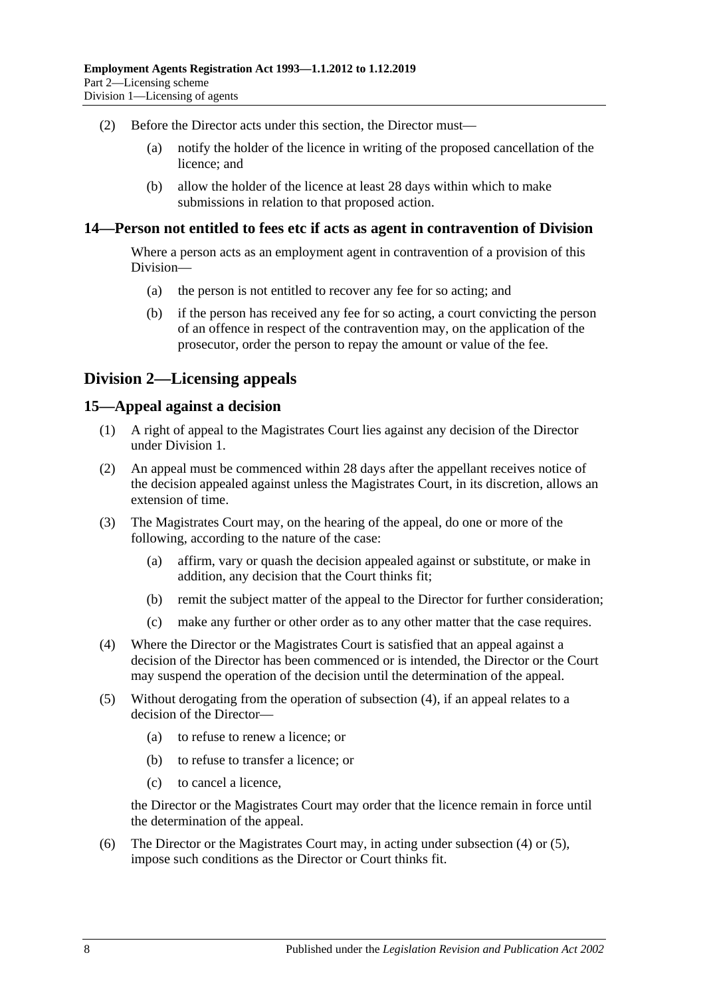- (2) Before the Director acts under this section, the Director must—
	- (a) notify the holder of the licence in writing of the proposed cancellation of the licence; and
	- (b) allow the holder of the licence at least 28 days within which to make submissions in relation to that proposed action.

### <span id="page-7-0"></span>**14—Person not entitled to fees etc if acts as agent in contravention of Division**

Where a person acts as an employment agent in contravention of a provision of this Division—

- (a) the person is not entitled to recover any fee for so acting; and
- (b) if the person has received any fee for so acting, a court convicting the person of an offence in respect of the contravention may, on the application of the prosecutor, order the person to repay the amount or value of the fee.

### <span id="page-7-1"></span>**Division 2—Licensing appeals**

### <span id="page-7-2"></span>**15—Appeal against a decision**

- (1) A right of appeal to the Magistrates Court lies against any decision of the Director under [Division 1.](#page-3-1)
- (2) An appeal must be commenced within 28 days after the appellant receives notice of the decision appealed against unless the Magistrates Court, in its discretion, allows an extension of time.
- (3) The Magistrates Court may, on the hearing of the appeal, do one or more of the following, according to the nature of the case:
	- (a) affirm, vary or quash the decision appealed against or substitute, or make in addition, any decision that the Court thinks fit;
	- (b) remit the subject matter of the appeal to the Director for further consideration;
	- (c) make any further or other order as to any other matter that the case requires.
- <span id="page-7-3"></span>(4) Where the Director or the Magistrates Court is satisfied that an appeal against a decision of the Director has been commenced or is intended, the Director or the Court may suspend the operation of the decision until the determination of the appeal.
- <span id="page-7-4"></span>(5) Without derogating from the operation of [subsection](#page-7-3) (4), if an appeal relates to a decision of the Director—
	- (a) to refuse to renew a licence; or
	- (b) to refuse to transfer a licence; or
	- (c) to cancel a licence,

the Director or the Magistrates Court may order that the licence remain in force until the determination of the appeal.

<span id="page-7-5"></span>(6) The Director or the Magistrates Court may, in acting under [subsection](#page-7-3) (4) or [\(5\),](#page-7-4) impose such conditions as the Director or Court thinks fit.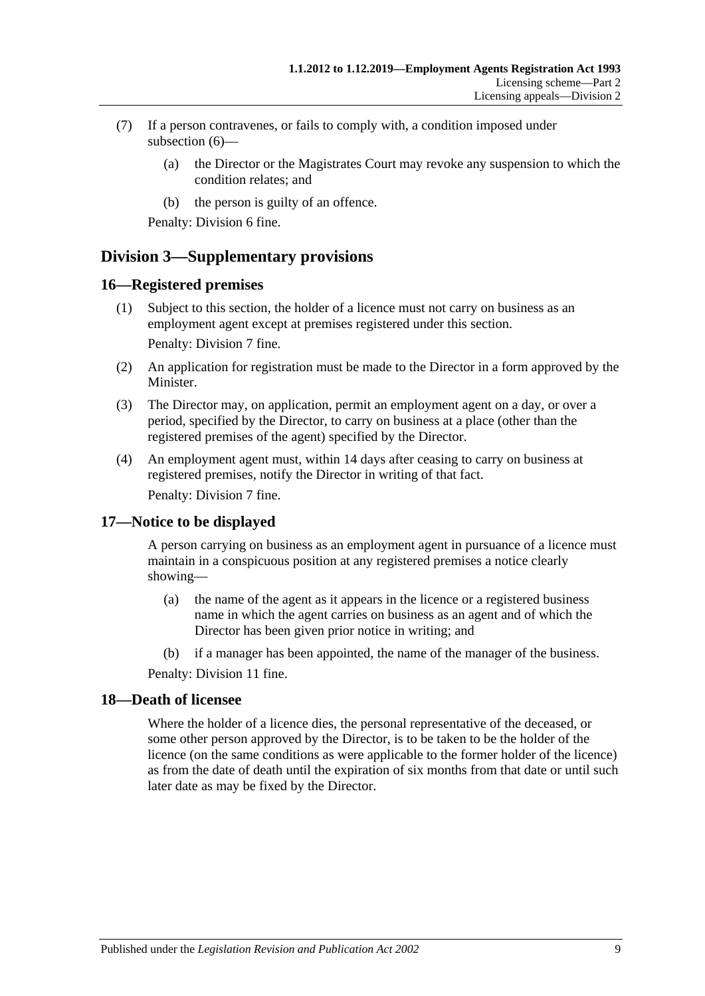- (7) If a person contravenes, or fails to comply with, a condition imposed under [subsection](#page-7-5) (6)—
	- (a) the Director or the Magistrates Court may revoke any suspension to which the condition relates; and
	- (b) the person is guilty of an offence.

Penalty: Division 6 fine.

### <span id="page-8-0"></span>**Division 3—Supplementary provisions**

### <span id="page-8-1"></span>**16—Registered premises**

(1) Subject to this section, the holder of a licence must not carry on business as an employment agent except at premises registered under this section.

Penalty: Division 7 fine.

- (2) An application for registration must be made to the Director in a form approved by the Minister.
- (3) The Director may, on application, permit an employment agent on a day, or over a period, specified by the Director, to carry on business at a place (other than the registered premises of the agent) specified by the Director.
- (4) An employment agent must, within 14 days after ceasing to carry on business at registered premises, notify the Director in writing of that fact. Penalty: Division 7 fine.

### <span id="page-8-2"></span>**17—Notice to be displayed**

A person carrying on business as an employment agent in pursuance of a licence must maintain in a conspicuous position at any registered premises a notice clearly showing—

- (a) the name of the agent as it appears in the licence or a registered business name in which the agent carries on business as an agent and of which the Director has been given prior notice in writing; and
- (b) if a manager has been appointed, the name of the manager of the business.

Penalty: Division 11 fine.

### <span id="page-8-3"></span>**18—Death of licensee**

Where the holder of a licence dies, the personal representative of the deceased, or some other person approved by the Director, is to be taken to be the holder of the licence (on the same conditions as were applicable to the former holder of the licence) as from the date of death until the expiration of six months from that date or until such later date as may be fixed by the Director.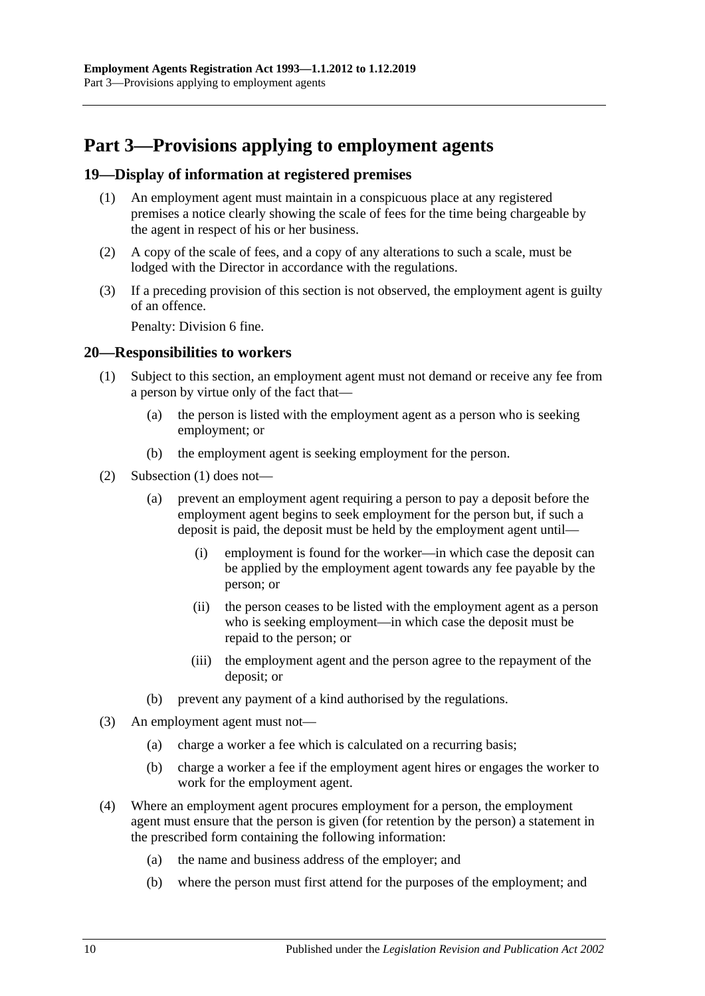# <span id="page-9-0"></span>**Part 3—Provisions applying to employment agents**

### <span id="page-9-1"></span>**19—Display of information at registered premises**

- (1) An employment agent must maintain in a conspicuous place at any registered premises a notice clearly showing the scale of fees for the time being chargeable by the agent in respect of his or her business.
- (2) A copy of the scale of fees, and a copy of any alterations to such a scale, must be lodged with the Director in accordance with the regulations.
- (3) If a preceding provision of this section is not observed, the employment agent is guilty of an offence.

Penalty: Division 6 fine.

### <span id="page-9-3"></span><span id="page-9-2"></span>**20—Responsibilities to workers**

- (1) Subject to this section, an employment agent must not demand or receive any fee from a person by virtue only of the fact that—
	- (a) the person is listed with the employment agent as a person who is seeking employment; or
	- (b) the employment agent is seeking employment for the person.
- (2) [Subsection](#page-9-3) (1) does not—
	- (a) prevent an employment agent requiring a person to pay a deposit before the employment agent begins to seek employment for the person but, if such a deposit is paid, the deposit must be held by the employment agent until—
		- (i) employment is found for the worker—in which case the deposit can be applied by the employment agent towards any fee payable by the person; or
		- (ii) the person ceases to be listed with the employment agent as a person who is seeking employment—in which case the deposit must be repaid to the person; or
		- (iii) the employment agent and the person agree to the repayment of the deposit; or
	- (b) prevent any payment of a kind authorised by the regulations.
- (3) An employment agent must not—
	- (a) charge a worker a fee which is calculated on a recurring basis;
	- (b) charge a worker a fee if the employment agent hires or engages the worker to work for the employment agent.
- (4) Where an employment agent procures employment for a person, the employment agent must ensure that the person is given (for retention by the person) a statement in the prescribed form containing the following information:
	- (a) the name and business address of the employer; and
	- (b) where the person must first attend for the purposes of the employment; and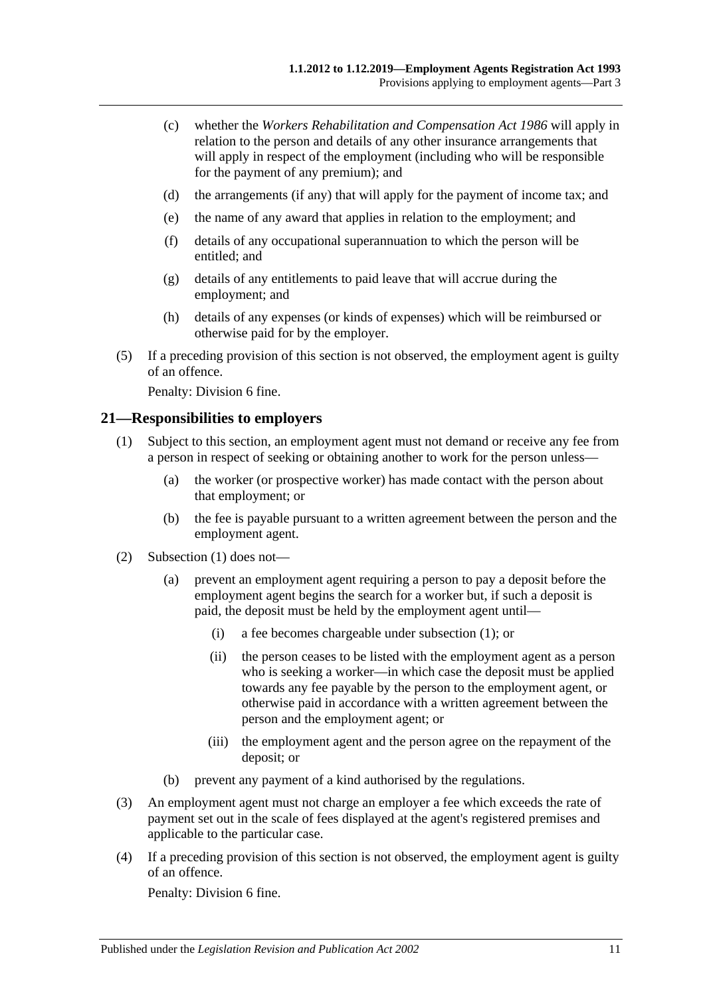- (c) whether the *[Workers Rehabilitation and Compensation Act](http://www.legislation.sa.gov.au/index.aspx?action=legref&type=act&legtitle=Workers%20Rehabilitation%20and%20Compensation%20Act%201986) 1986* will apply in relation to the person and details of any other insurance arrangements that will apply in respect of the employment (including who will be responsible for the payment of any premium); and
- (d) the arrangements (if any) that will apply for the payment of income tax; and
- (e) the name of any award that applies in relation to the employment; and
- (f) details of any occupational superannuation to which the person will be entitled; and
- (g) details of any entitlements to paid leave that will accrue during the employment; and
- (h) details of any expenses (or kinds of expenses) which will be reimbursed or otherwise paid for by the employer.
- (5) If a preceding provision of this section is not observed, the employment agent is guilty of an offence.

Penalty: Division 6 fine.

### <span id="page-10-1"></span><span id="page-10-0"></span>**21—Responsibilities to employers**

- (1) Subject to this section, an employment agent must not demand or receive any fee from a person in respect of seeking or obtaining another to work for the person unless—
	- (a) the worker (or prospective worker) has made contact with the person about that employment; or
	- (b) the fee is payable pursuant to a written agreement between the person and the employment agent.
- (2) [Subsection](#page-10-1) (1) does not—
	- (a) prevent an employment agent requiring a person to pay a deposit before the employment agent begins the search for a worker but, if such a deposit is paid, the deposit must be held by the employment agent until—
		- (i) a fee becomes chargeable under [subsection](#page-10-1) (1); or
		- (ii) the person ceases to be listed with the employment agent as a person who is seeking a worker—in which case the deposit must be applied towards any fee payable by the person to the employment agent, or otherwise paid in accordance with a written agreement between the person and the employment agent; or
		- (iii) the employment agent and the person agree on the repayment of the deposit; or
	- (b) prevent any payment of a kind authorised by the regulations.
- (3) An employment agent must not charge an employer a fee which exceeds the rate of payment set out in the scale of fees displayed at the agent's registered premises and applicable to the particular case.
- (4) If a preceding provision of this section is not observed, the employment agent is guilty of an offence.

Penalty: Division 6 fine.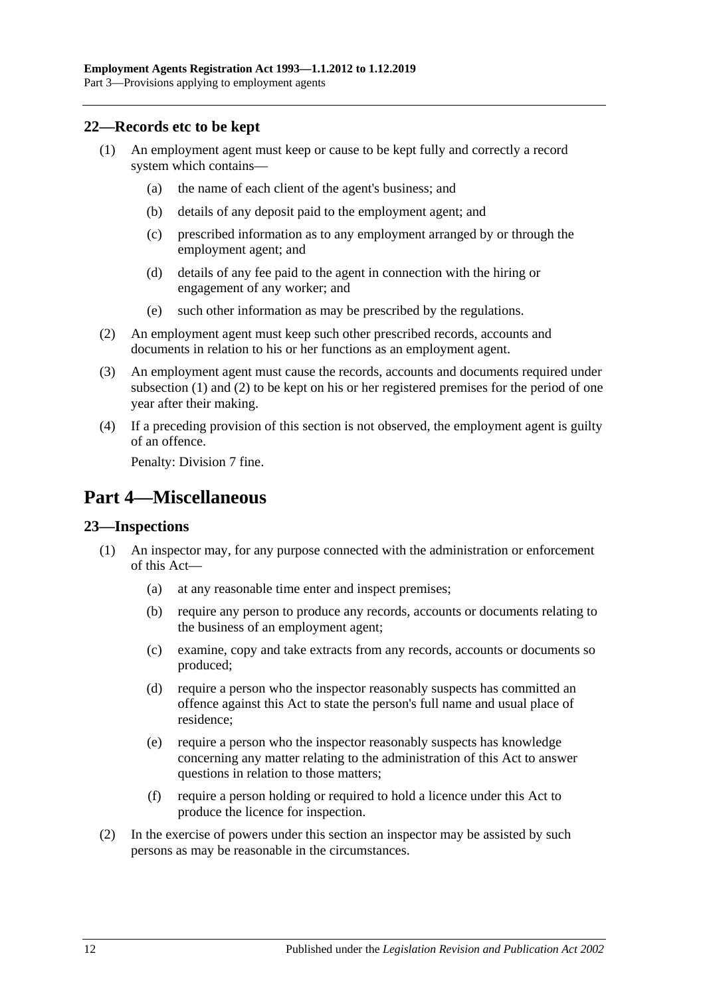### <span id="page-11-3"></span><span id="page-11-0"></span>**22—Records etc to be kept**

- (1) An employment agent must keep or cause to be kept fully and correctly a record system which contains—
	- (a) the name of each client of the agent's business; and
	- (b) details of any deposit paid to the employment agent; and
	- (c) prescribed information as to any employment arranged by or through the employment agent; and
	- (d) details of any fee paid to the agent in connection with the hiring or engagement of any worker; and
	- (e) such other information as may be prescribed by the regulations.
- <span id="page-11-4"></span>(2) An employment agent must keep such other prescribed records, accounts and documents in relation to his or her functions as an employment agent.
- (3) An employment agent must cause the records, accounts and documents required under [subsection](#page-11-3) (1) and [\(2\)](#page-11-4) to be kept on his or her registered premises for the period of one year after their making.
- (4) If a preceding provision of this section is not observed, the employment agent is guilty of an offence.

Penalty: Division 7 fine.

## <span id="page-11-1"></span>**Part 4—Miscellaneous**

### <span id="page-11-2"></span>**23—Inspections**

- (1) An inspector may, for any purpose connected with the administration or enforcement of this Act—
	- (a) at any reasonable time enter and inspect premises;
	- (b) require any person to produce any records, accounts or documents relating to the business of an employment agent;
	- (c) examine, copy and take extracts from any records, accounts or documents so produced;
	- (d) require a person who the inspector reasonably suspects has committed an offence against this Act to state the person's full name and usual place of residence;
	- (e) require a person who the inspector reasonably suspects has knowledge concerning any matter relating to the administration of this Act to answer questions in relation to those matters;
	- (f) require a person holding or required to hold a licence under this Act to produce the licence for inspection.
- (2) In the exercise of powers under this section an inspector may be assisted by such persons as may be reasonable in the circumstances.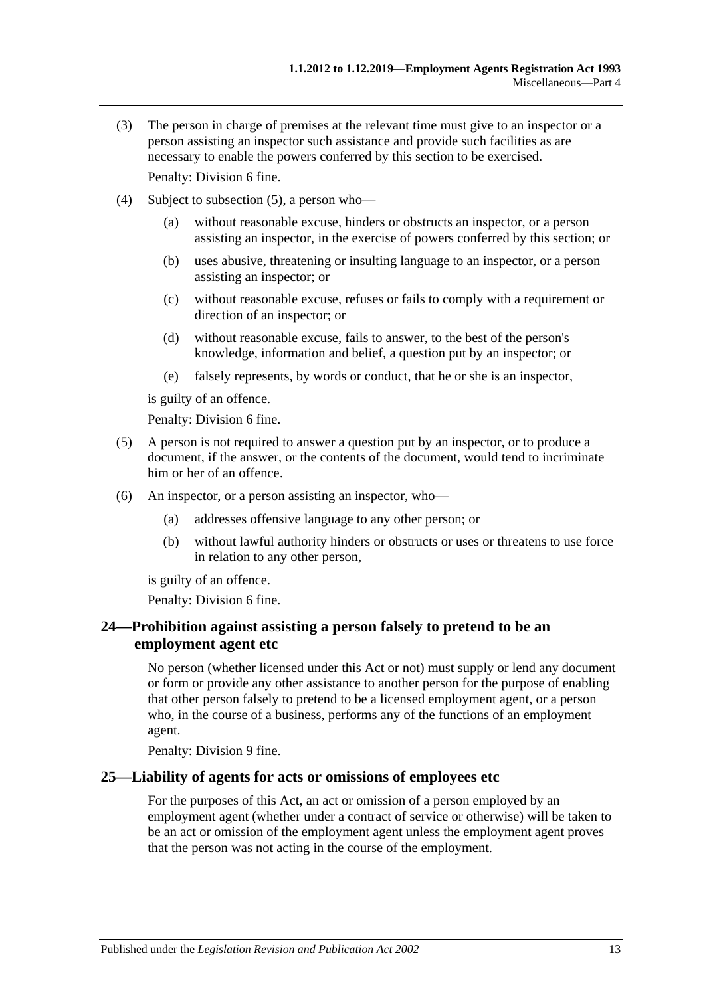- (3) The person in charge of premises at the relevant time must give to an inspector or a person assisting an inspector such assistance and provide such facilities as are necessary to enable the powers conferred by this section to be exercised. Penalty: Division 6 fine.
- (4) Subject to [subsection](#page-12-2) (5), a person who—
	- (a) without reasonable excuse, hinders or obstructs an inspector, or a person assisting an inspector, in the exercise of powers conferred by this section; or
	- (b) uses abusive, threatening or insulting language to an inspector, or a person assisting an inspector; or
	- (c) without reasonable excuse, refuses or fails to comply with a requirement or direction of an inspector; or
	- (d) without reasonable excuse, fails to answer, to the best of the person's knowledge, information and belief, a question put by an inspector; or
	- (e) falsely represents, by words or conduct, that he or she is an inspector,

is guilty of an offence.

Penalty: Division 6 fine.

- <span id="page-12-2"></span>(5) A person is not required to answer a question put by an inspector, or to produce a document, if the answer, or the contents of the document, would tend to incriminate him or her of an offence.
- (6) An inspector, or a person assisting an inspector, who—
	- (a) addresses offensive language to any other person; or
	- (b) without lawful authority hinders or obstructs or uses or threatens to use force in relation to any other person,

is guilty of an offence.

Penalty: Division 6 fine.

### <span id="page-12-0"></span>**24—Prohibition against assisting a person falsely to pretend to be an employment agent etc**

No person (whether licensed under this Act or not) must supply or lend any document or form or provide any other assistance to another person for the purpose of enabling that other person falsely to pretend to be a licensed employment agent, or a person who, in the course of a business, performs any of the functions of an employment agent.

Penalty: Division 9 fine.

### <span id="page-12-1"></span>**25—Liability of agents for acts or omissions of employees etc**

For the purposes of this Act, an act or omission of a person employed by an employment agent (whether under a contract of service or otherwise) will be taken to be an act or omission of the employment agent unless the employment agent proves that the person was not acting in the course of the employment.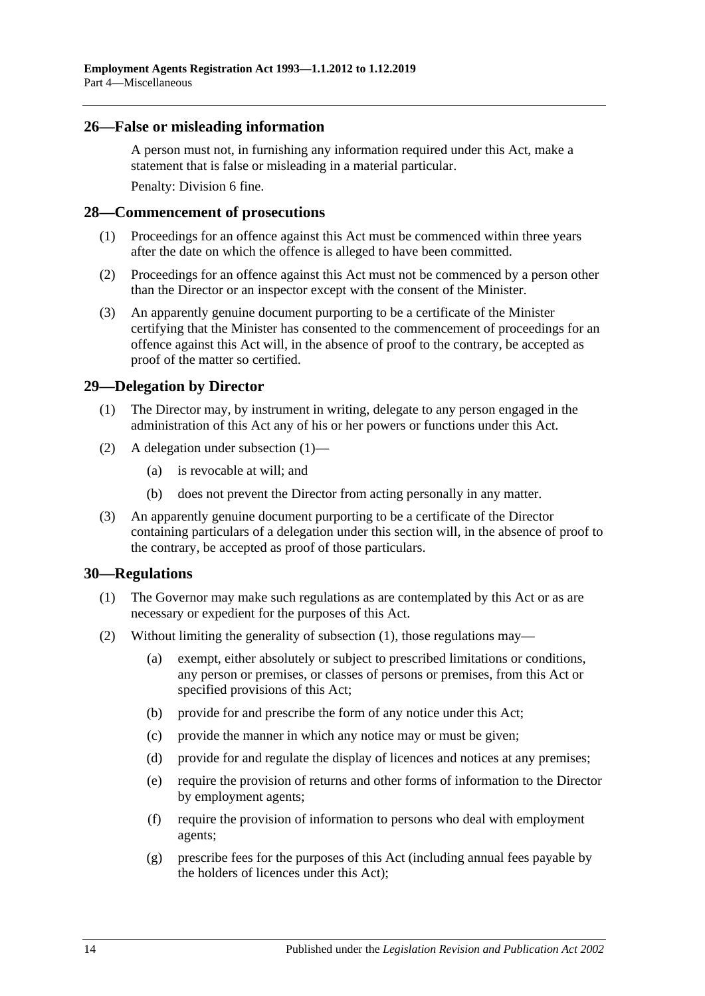### <span id="page-13-0"></span>**26—False or misleading information**

A person must not, in furnishing any information required under this Act, make a statement that is false or misleading in a material particular. Penalty: Division 6 fine.

### <span id="page-13-1"></span>**28—Commencement of prosecutions**

- (1) Proceedings for an offence against this Act must be commenced within three years after the date on which the offence is alleged to have been committed.
- (2) Proceedings for an offence against this Act must not be commenced by a person other than the Director or an inspector except with the consent of the Minister.
- (3) An apparently genuine document purporting to be a certificate of the Minister certifying that the Minister has consented to the commencement of proceedings for an offence against this Act will, in the absence of proof to the contrary, be accepted as proof of the matter so certified.

### <span id="page-13-4"></span><span id="page-13-2"></span>**29—Delegation by Director**

- (1) The Director may, by instrument in writing, delegate to any person engaged in the administration of this Act any of his or her powers or functions under this Act.
- (2) A delegation under [subsection](#page-13-4) (1)—
	- (a) is revocable at will; and
	- (b) does not prevent the Director from acting personally in any matter.
- (3) An apparently genuine document purporting to be a certificate of the Director containing particulars of a delegation under this section will, in the absence of proof to the contrary, be accepted as proof of those particulars.

### <span id="page-13-5"></span><span id="page-13-3"></span>**30—Regulations**

- (1) The Governor may make such regulations as are contemplated by this Act or as are necessary or expedient for the purposes of this Act.
- (2) Without limiting the generality of [subsection](#page-13-5) (1), those regulations may—
	- (a) exempt, either absolutely or subject to prescribed limitations or conditions, any person or premises, or classes of persons or premises, from this Act or specified provisions of this Act;
	- (b) provide for and prescribe the form of any notice under this Act;
	- (c) provide the manner in which any notice may or must be given;
	- (d) provide for and regulate the display of licences and notices at any premises;
	- (e) require the provision of returns and other forms of information to the Director by employment agents;
	- (f) require the provision of information to persons who deal with employment agents;
	- (g) prescribe fees for the purposes of this Act (including annual fees payable by the holders of licences under this Act);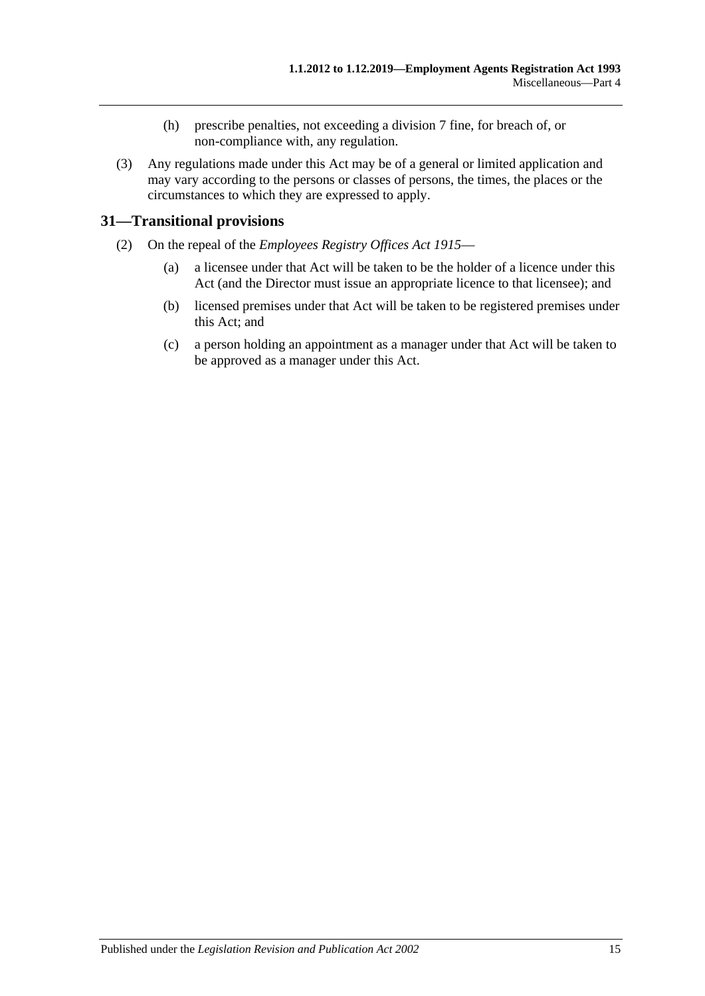- (h) prescribe penalties, not exceeding a division 7 fine, for breach of, or non-compliance with, any regulation.
- (3) Any regulations made under this Act may be of a general or limited application and may vary according to the persons or classes of persons, the times, the places or the circumstances to which they are expressed to apply.

### <span id="page-14-0"></span>**31—Transitional provisions**

- (2) On the repeal of the *[Employees Registry Offices Act](http://www.legislation.sa.gov.au/index.aspx?action=legref&type=act&legtitle=Employees%20Registry%20Offices%20Act%201915) 1915*
	- (a) a licensee under that Act will be taken to be the holder of a licence under this Act (and the Director must issue an appropriate licence to that licensee); and
	- (b) licensed premises under that Act will be taken to be registered premises under this Act; and
	- (c) a person holding an appointment as a manager under that Act will be taken to be approved as a manager under this Act.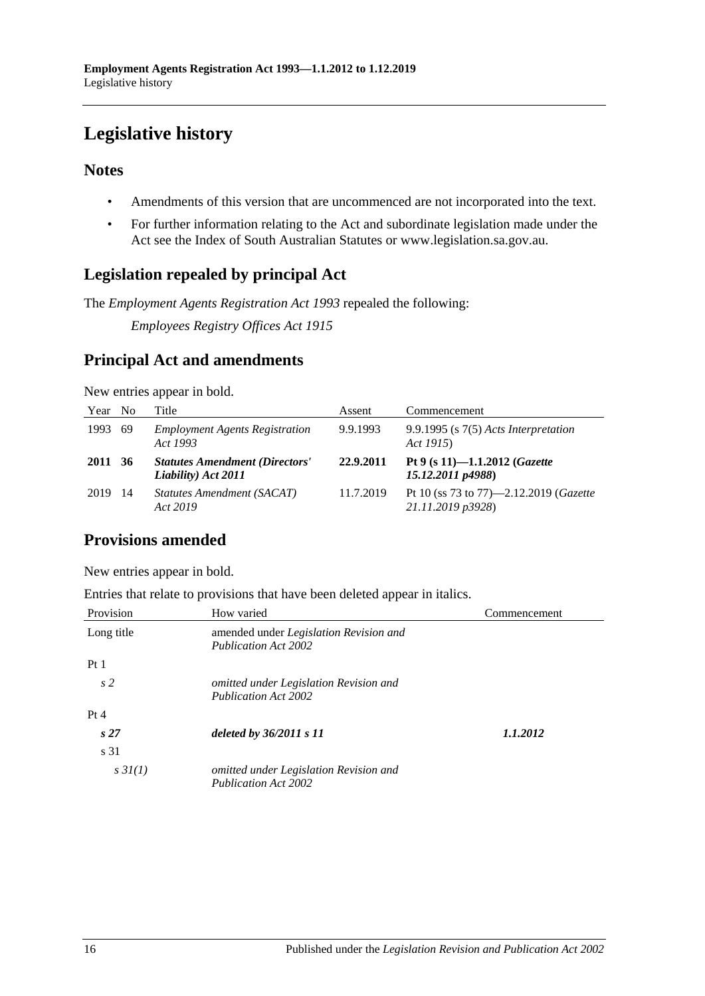# <span id="page-15-0"></span>**Legislative history**

### **Notes**

- Amendments of this version that are uncommenced are not incorporated into the text.
- For further information relating to the Act and subordinate legislation made under the Act see the Index of South Australian Statutes or www.legislation.sa.gov.au.

### **Legislation repealed by principal Act**

The *Employment Agents Registration Act 1993* repealed the following:

*Employees Registry Offices Act 1915*

### **Principal Act and amendments**

|  | New entries appear in bold. |  |
|--|-----------------------------|--|
|  |                             |  |

| Year No |      | Title                                                        | Assent    | Commencement                                                |
|---------|------|--------------------------------------------------------------|-----------|-------------------------------------------------------------|
| 1993    | -69  | <b>Employment Agents Registration</b><br>Act 1993            | 9.9.1993  | $9.9.1995$ (s $7(5)$ Acts Interpretation<br>Act 1915)       |
| 2011 36 |      | <b>Statutes Amendment (Directors'</b><br>Liability) Act 2011 | 22.9.2011 | Pt 9 (s 11)-1.1.2012 ( <i>Gazette</i><br>15.12.2011 p4988)  |
| 2019    | - 14 | Statutes Amendment (SACAT)<br>Act 2019                       | 11.7.2019 | Pt 10 (ss 73 to 77)-2.12.2019 (Gazette<br>21.11.2019 p3928) |

### **Provisions amended**

New entries appear in bold.

Entries that relate to provisions that have been deleted appear in italics.

| Provision       | How varied                                                            | Commencement |
|-----------------|-----------------------------------------------------------------------|--------------|
| Long title      | amended under Legislation Revision and<br><b>Publication Act 2002</b> |              |
| Pt1             |                                                                       |              |
| s <sub>2</sub>  | omitted under Legislation Revision and<br><b>Publication Act 2002</b> |              |
| Pt 4            |                                                                       |              |
| s <sub>27</sub> | deleted by 36/2011 s 11                                               | 1.1.2012     |
| s 31            |                                                                       |              |
| $s \, 3I(1)$    | omitted under Legislation Revision and<br><b>Publication Act 2002</b> |              |